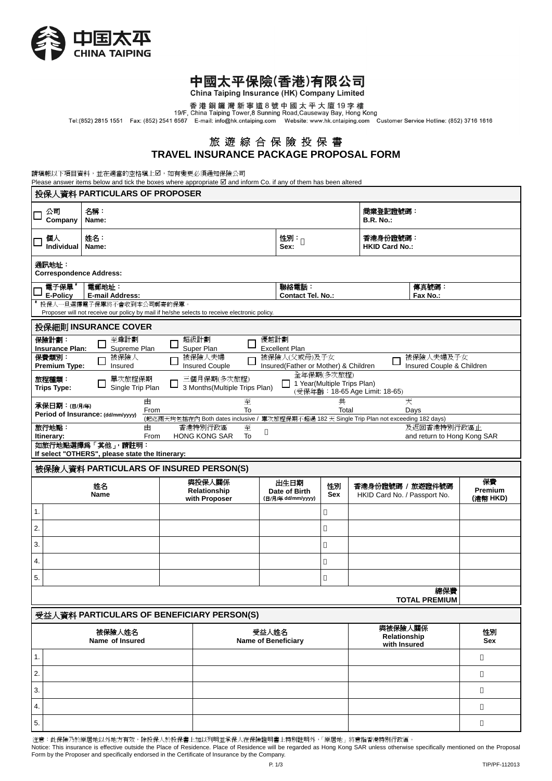

# 中國太平保險(香港)有限公司

香港銅鑼灣新寧道8號中國太平大廈19字樓<br>19/F, China Taiping Tower,8 Sunning Road,Causeway Bay, Hong Kong<br>1616 Tel:(852) 2815 1551 Fax: (852) 2541 6567 E-mail: info@hk.cntaiping.com Website: www.hk.cntaiping.com Customer Service

# 旅 遊 綜 合 保 險 投 保 書 **TRAVEL INSURANCE PACKAGE PROPOSAL FORM**

請填報以下項目資料,並在適當的空格填上2,如有變更必須通知保險公司

Please answer items below and tick the boxes where appropriate  $\boxtimes$  and inform Co. if any of them has been altered

| 投保人資料 PARTICULARS OF PROPOSER                                                              |                                         |                                   |                  |  |                                                                                              |                                                  |                                                      |                  |                                |                                            |                           |  |  |  |
|--------------------------------------------------------------------------------------------|-----------------------------------------|-----------------------------------|------------------|--|----------------------------------------------------------------------------------------------|--------------------------------------------------|------------------------------------------------------|------------------|--------------------------------|--------------------------------------------|---------------------------|--|--|--|
|                                                                                            | 公司<br>Company                           | 名稱:<br>Name:                      |                  |  |                                                                                              |                                                  |                                                      |                  | 商業登記證號碼:<br><b>B.R. No.:</b>   |                                            |                           |  |  |  |
|                                                                                            | 姓名:<br>個人<br>Individual<br>Name:        |                                   |                  |  |                                                                                              | 性別:<br>香港身份證號碼:<br>Sex:<br><b>HKID Card No.:</b> |                                                      |                  |                                |                                            |                           |  |  |  |
|                                                                                            | 通訊地址:<br><b>Correspondence Address:</b> |                                   |                  |  |                                                                                              |                                                  |                                                      |                  |                                |                                            |                           |  |  |  |
|                                                                                            | 電子保單*<br>E-Policy                       | 電郵地址:<br><b>E-mail Address:</b>   |                  |  |                                                                                              |                                                  | 聯絡電話:<br><b>Contact Tel. No.:</b>                    |                  |                                | 傳真號碼:<br>Fax No.:                          |                           |  |  |  |
|                                                                                            |                                         | 投保人一旦選擇電子保單將不會收到本公司郵寄的保單。         |                  |  | Proposer will not receive our policy by mail if he/she selects to receive electronic policy. |                                                  |                                                      |                  |                                |                                            |                           |  |  |  |
|                                                                                            |                                         | 投保細則 INSURANCE COVER              |                  |  |                                                                                              |                                                  |                                                      |                  |                                |                                            |                           |  |  |  |
|                                                                                            | 保險計劃:<br><b>Insurance Plan:</b>         | 至尊計劃<br>Supreme Plan              |                  |  | 超級計劃<br>Super Plan                                                                           | 優越計劃                                             | <b>Excellent Plan</b>                                |                  |                                |                                            |                           |  |  |  |
|                                                                                            | 保費類別:<br><b>Premium Type:</b>           | 被保險人<br>Insured                   |                  |  | 被保險人夫婦<br><b>Insured Couple</b>                                                              |                                                  | 被保險人(父或母)及子女<br>Insured(Father or Mother) & Children |                  |                                | 被保險人夫婦及子女<br>Insured Couple & Children     |                           |  |  |  |
|                                                                                            | 旅程種類:<br><b>Trips Type:</b>             | 單次旅程保期                            | Single Trip Plan |  | 三個月保期(多次旅程)<br>3 Months(Multiple Trips Plan)                                                 |                                                  | $\Box$ 1 Year(Multiple Trips Plan)                   | 全年保期(多次旅程)       | (受保年齡: 18-65 Age Limit: 18-65) |                                            |                           |  |  |  |
|                                                                                            | 承保日期:(日/月/年)                            |                                   | 由                |  | 至<br>To                                                                                      |                                                  |                                                      | 共                | 天                              |                                            |                           |  |  |  |
|                                                                                            |                                         | Period of Insurance: (dd/mm/yyyy) | From             |  | (起迄兩天均包括在內 Both dates inclusive / 單次旅程保期不超過 182 天 Single Trip Plan not exceeding 182 days)   |                                                  |                                                      | Total            |                                | Days                                       |                           |  |  |  |
|                                                                                            | 旅行地點:<br>Itinerary:                     |                                   | 由<br>From        |  | 至<br>香港特別行政區<br>HONG KONG SAR<br>To                                                          |                                                  |                                                      |                  |                                | 及返回香港特別行政區止<br>and return to Hong Kong SAR |                           |  |  |  |
|                                                                                            |                                         |                                   |                  |  | 如旅行地點選擇為「其他」,請註明:                                                                            |                                                  |                                                      |                  |                                |                                            |                           |  |  |  |
| If select "OTHERS", please state the Itinerary:<br>被保險人資料 PARTICULARS OF INSURED PERSON(S) |                                         |                                   |                  |  |                                                                                              |                                                  |                                                      |                  |                                |                                            |                           |  |  |  |
|                                                                                            |                                         |                                   |                  |  |                                                                                              |                                                  |                                                      |                  |                                |                                            |                           |  |  |  |
|                                                                                            |                                         | 姓名<br>Name                        |                  |  | 與投保人關係<br>Relationship<br>with Proposer                                                      |                                                  | 出生日期<br>Date of Birth<br>(日/月/年 dd/mm/yyyy)          | 性別<br><b>Sex</b> | HKID Card No. / Passport No.   | 香港身份證號碼 / 旅遊證件號碼                           | 保費<br>Premium<br>(港幣 HKD) |  |  |  |
| 1.                                                                                         |                                         |                                   |                  |  |                                                                                              |                                                  |                                                      |                  |                                |                                            |                           |  |  |  |
| $\overline{2}$ .                                                                           |                                         |                                   |                  |  |                                                                                              |                                                  |                                                      |                  |                                |                                            |                           |  |  |  |
| 3.                                                                                         |                                         |                                   |                  |  |                                                                                              |                                                  |                                                      |                  |                                |                                            |                           |  |  |  |
| 4.                                                                                         |                                         |                                   |                  |  |                                                                                              |                                                  |                                                      |                  |                                |                                            |                           |  |  |  |
| 5.                                                                                         |                                         |                                   |                  |  |                                                                                              |                                                  |                                                      |                  |                                |                                            |                           |  |  |  |
|                                                                                            |                                         |                                   |                  |  |                                                                                              |                                                  |                                                      |                  |                                | 總保費<br><b>TOTAL PREMIUM</b>                |                           |  |  |  |
|                                                                                            |                                         |                                   |                  |  | 受益人資料 PARTICULARS OF BENEFICIARY PERSON(S)                                                   |                                                  |                                                      |                  |                                |                                            |                           |  |  |  |
|                                                                                            |                                         | 被保險人姓名<br>Name of Insured         |                  |  |                                                                                              | 受益人姓名                                            | <b>Name of Beneficiary</b>                           |                  | 與被保險人關係<br>Relationship        |                                            | 性別<br>Sex                 |  |  |  |
| 1.                                                                                         |                                         |                                   |                  |  |                                                                                              |                                                  |                                                      |                  | with Insured                   |                                            |                           |  |  |  |
| 2.                                                                                         |                                         |                                   |                  |  |                                                                                              |                                                  |                                                      |                  |                                |                                            |                           |  |  |  |
| 3.                                                                                         |                                         |                                   |                  |  |                                                                                              |                                                  |                                                      |                  |                                |                                            |                           |  |  |  |
| 4.                                                                                         |                                         |                                   |                  |  |                                                                                              |                                                  |                                                      |                  |                                |                                            |                           |  |  |  |

注意:此保險乃於原居地以外地方有效,除投保人於投保書上加以列明並承保人在保險證明書上特別註明外,「原居地」將意指香港特別行政區。

Notice: This insurance is effective outside the Place of Residence. Place of Residence will be regarded as Hong Kong SAR unless otherwise specifically mentioned on the Proposal Form by the Proposer and specifically endorsed in the Certificate of Insurance by the Company.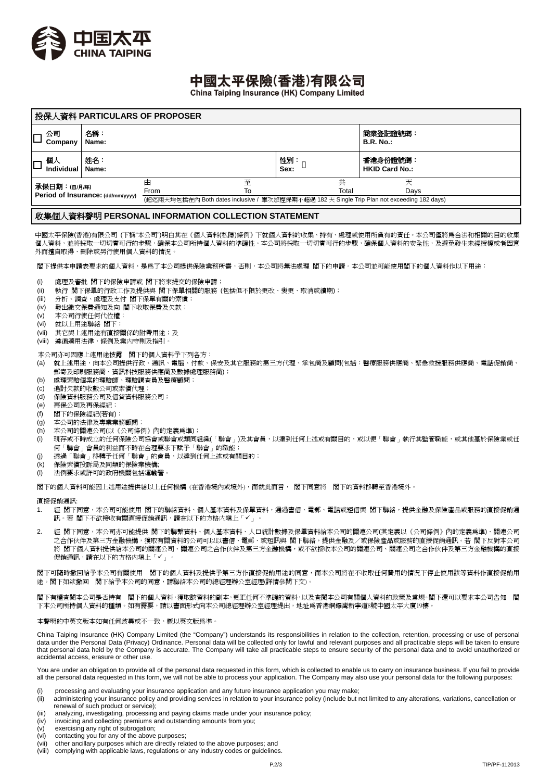

# 中國太平保險(香港)有限公司

China Taiping Insurance (HK) Company Limited

| 投保人資料 PARTICULARS OF PROPOSER                     |              |           |                              |             |                                                                                                         |  |  |  |  |
|---------------------------------------------------|--------------|-----------|------------------------------|-------------|---------------------------------------------------------------------------------------------------------|--|--|--|--|
| 公司<br>Company                                     | 名稱:<br>Name: |           | 商業登記證號碼:<br><b>B.R. No.:</b> |             |                                                                                                         |  |  |  |  |
| 個人<br>Individual                                  | 姓名:<br>Name: |           |                              | 性別:<br>Sex: | 香港身份證號碼:<br><b>HKID Card No.:</b>                                                                       |  |  |  |  |
| 承保日期:(日/月/年)<br>Period of Insurance: (dd/mm/yyyy) |              | ⊞<br>From | 至<br>To                      | 共<br>Total  | 天<br>Davs<br>(起迄兩天均包括在內 Both dates inclusive / 單次旅程保期不超過 182 天 Single Trip Plan not exceeding 182 days) |  |  |  |  |

#### 收集個人資料聲明 **PERSONAL INFORMATION COLLECTION STATEMENT**

中國太平保險(香港)有限公司 (下稱"本公司")明白其在《個人資料(私隱)條例》下就個人資料的收集、持有、處理或使用所負有的責任。本公司僅將為合法和相關的目的收集 個人資料,並將採取一切切實可行的步驟,確保本公司所持個人資料的準確性。本公司將採取一切切實可行的步驟,確保個人資料的安全性,及避免發生未經授權或者因意 外而擅自取得、刪除或另行使用個人資料的情況。

閣下提供本申請表要求的個人資料,是為了本公司提供保險業務所需,否則,本公司將無法處理 閣下的申請。本公司並可能使用閣下的個人資料作以下用途:

- (i) 處理及審批 閣下的保險申請或 閣下將來提交的保險申請;
- (ii) 執行 閣下保單的行政工作及提供與 閣下保單相關的服務 (包括但不限於更改、變更、取消或續期);
- (iii) 分析、調查、處理及支付 閣下保單有關的索償;
- (iv) 發出繳交保費通知及向 閣下收取保費及欠款;
- (v) 本公司行使任何代位權;
- (vi) 就以上用途聯絡 閣下;
- (vii) 其它與上述用途有直接關係的附帶用途;及
- (viii) 遵循適用法律,條例及業内守則及指引。
- 
- 本公司亦可因應上述用途披露 閣下的個人資料予下列各方:
- (a) 就上述用途,向本公司提供行政、通訊、電腦、付款、保安及其它服務的第三方代理、承包商及顧問(包括:醫療服務供應商、緊急救援服務供應商、電話促銷商、 郵寄及印刷服務商、資訊科技服務供應商及數據處理服務商);
- (b) 處理索賠個案的理賠師、理賠調查員及醫療顧問;
- (c) 追討欠款的收數公司或索償代理;
- (d) 保險資料服務公司及信貸資料服務公司;
- (e) 再保公司及再保經紀;
- (f) 閣下的保險經紀(若有);
- (g) 本公司的法律及專業業務顧問;
- 
- (h) 本公司的關連公司(以《公司條例》內的定義為準);
- (i) 現存或不時成立的任何保險公司協會或聯會或類同組織(「聯會」)及其會員,以達到任何上述或有關目的,或以便「聯會」執行其監管職能,或其他基於保險業或任 何「聯會」會員的利益而不時在合理要求下賦予「聯會」的職能;
- (j) 透過「聯會」移轉予任何「聯會」的會員,以達到任何上述或有關目的;
- (k) 保險索償投訴局及同類的保險業機構;
- (l) 法例要求或許可的政府機關包括運輸署。

閣下的個人資料可能因上述用途提供給以上任何機構 (在香港境內或境外),而就此而言, 閣下同意將 閣下的資料移轉至香港境外。

#### 直接促銷通訊:

- 1. 經 閣下同意,本公司可能使用 閣下的聯絡資料、個人基本資料及保單資料,通過書信、電郵、電話或短信與 閣下聯絡,提供金融及保險產品或服務的直接促銷通 訊。若 閣下不欲接收有關直接促銷通訊,請在以下的方格内填上「✔」。
- 2. 經 閣下同音,本公司亦可能提供 閣下的聯繫資料、個人基本資料、人口統計數據及保單資料給本公司的關連公司(其定義以《公司條例》內的定義爲進)、關連公司 之合作伙伴及第三方金融機構,獲取有關資料的公司可以以書信、電郵、或短訊與 閣下聯絡,提供金融及/或保險產品或服務的直接促銷通訊。若 閣下反對本公司 將 閣下個人資料提供給本公司的關連公司、關連公司之合作伙伴及第三方金融機構,或不欲接收本公司的關連公司、關連公司之合作伙伴及第三方金融機構的直接 促銷通訊,請在以下的方格内填上「✔」

閣下可隨時撤回給予本公司有關使用 閣下的個人資料及提供予第三方作直接促銷用途的同意,而本公司將在不收取任何費用的情況下停止使用該等資料作直接促銷用 途。閣下如欲撤回 閣下給予本公司的同意,請聯絡本公司的總經理辦公室經理(詳情參閱下文)。

閣下有權查閱本公司是否持有 閣下的個人資料,獲取該資料的副本,更正任何不準確的資料,以及查閱本公司有關個人資料的政策及常規。閣下還可以要求本公司告知 閣 下本公司所持個人資料的種類。如有需要,請以書面形式向本公司總經理辦公室經理提出,地址爲香港銅鑼灣新寧道8號中國太平大廈19樓。

#### 本聲明的中英文版本如有任何歧異或不一致,概以英文版為準。

China Taiping Insurance (HK) Company Limited (the "Company") understands its responsibilities in relation to the collection, retention, processing or use of personal data under the Personal Data (Privacy) Ordinance. Personal data will be collected only for lawful and relevant purposes and all practicable steps will be taken to ensure that personal data held by the Company is accurate. The Company will take all practicable steps to ensure security of the personal data and to avoid unauthorized or accidental access, erasure or other use.

You are under an obligation to provide all of the personal data requested in this form, which is collected to enable us to carry on insurance business. If you fail to provide all the personal data requested in this form, we will not be able to process your application. The Company may also use your personal data for the following purposes:

- (i) processing and evaluating your insurance application and any future insurance application you may make;
- (ii) administering your insurance policy and providing services in relation to your insurance policy (include but not limited to any alterations, variations, cancellation or renewal of such product or service);
- (iii) analyzing, investigating, processing and paying claims made under your insurance policy;
- (iv) invoicing and collecting premiums and outstanding amounts from you;
- (v) exercising any right of subrogation;
- (vi) contacting you for any of the above purposes;<br>(vii) other ancillary purposes which are directly related
- other ancillary purposes which are directly related to the above purposes; and
- (viii) complying with applicable laws, regulations or any industry codes or guidelines.